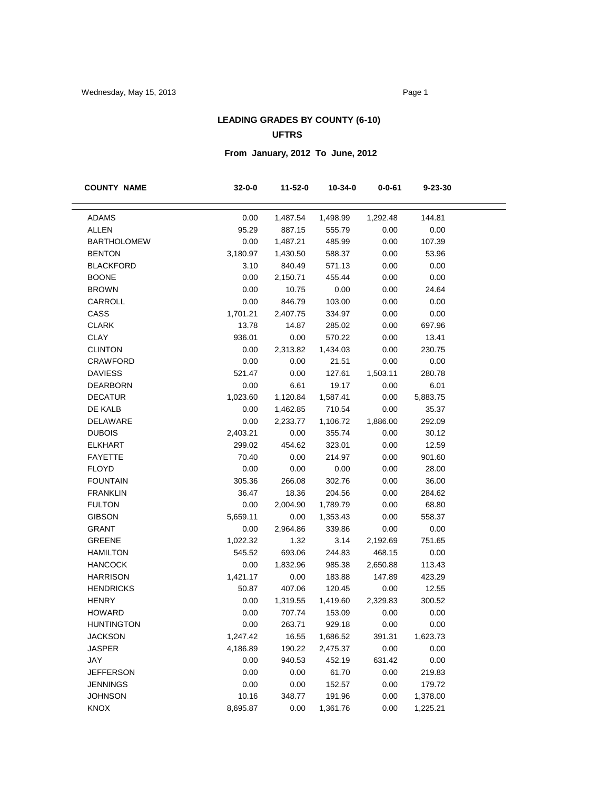## **LEADING GRADES BY COUNTY (6-10) UFTRS**

# **From January, 2012 To June, 2012**

| <b>COUNTY NAME</b> | $32 - 0 - 0$ | 11-52-0  | 10-34-0  | $0 - 0 - 61$ | 9-23-30  |  |
|--------------------|--------------|----------|----------|--------------|----------|--|
| <b>ADAMS</b>       | 0.00         | 1,487.54 | 1,498.99 | 1,292.48     | 144.81   |  |
| <b>ALLEN</b>       | 95.29        | 887.15   | 555.79   | 0.00         | 0.00     |  |
| <b>BARTHOLOMEW</b> | 0.00         | 1,487.21 | 485.99   | 0.00         | 107.39   |  |
| <b>BENTON</b>      | 3,180.97     | 1,430.50 | 588.37   | 0.00         | 53.96    |  |
| <b>BLACKFORD</b>   | 3.10         | 840.49   | 571.13   | 0.00         | 0.00     |  |
| <b>BOONE</b>       | 0.00         | 2,150.71 | 455.44   | 0.00         | 0.00     |  |
| <b>BROWN</b>       | 0.00         | 10.75    | 0.00     | 0.00         | 24.64    |  |
| CARROLL            | 0.00         | 846.79   | 103.00   | 0.00         | 0.00     |  |
| CASS               | 1,701.21     | 2,407.75 | 334.97   | 0.00         | 0.00     |  |
| <b>CLARK</b>       | 13.78        | 14.87    | 285.02   | 0.00         | 697.96   |  |
| CLAY               | 936.01       | 0.00     | 570.22   | 0.00         | 13.41    |  |
| <b>CLINTON</b>     | 0.00         | 2,313.82 | 1,434.03 | 0.00         | 230.75   |  |
| <b>CRAWFORD</b>    | 0.00         | 0.00     | 21.51    | 0.00         | 0.00     |  |
| <b>DAVIESS</b>     | 521.47       | 0.00     | 127.61   | 1,503.11     | 280.78   |  |
| <b>DEARBORN</b>    | 0.00         | 6.61     | 19.17    | 0.00         | 6.01     |  |
| <b>DECATUR</b>     | 1,023.60     | 1,120.84 | 1,587.41 | 0.00         | 5,883.75 |  |
| DE KALB            | 0.00         | 1,462.85 | 710.54   | 0.00         | 35.37    |  |
| DELAWARE           | 0.00         | 2,233.77 | 1,106.72 | 1,886.00     | 292.09   |  |
| <b>DUBOIS</b>      | 2,403.21     | 0.00     | 355.74   | 0.00         | 30.12    |  |
| <b>ELKHART</b>     | 299.02       | 454.62   | 323.01   | 0.00         | 12.59    |  |
| <b>FAYETTE</b>     | 70.40        | 0.00     | 214.97   | 0.00         | 901.60   |  |
| <b>FLOYD</b>       | 0.00         | 0.00     | 0.00     | 0.00         | 28.00    |  |
| <b>FOUNTAIN</b>    | 305.36       | 266.08   | 302.76   | 0.00         | 36.00    |  |
| <b>FRANKLIN</b>    | 36.47        | 18.36    | 204.56   | 0.00         | 284.62   |  |
| <b>FULTON</b>      | 0.00         | 2,004.90 | 1,789.79 | 0.00         | 68.80    |  |
| <b>GIBSON</b>      | 5,659.11     | 0.00     | 1,353.43 | 0.00         | 558.37   |  |
| <b>GRANT</b>       | 0.00         | 2,964.86 | 339.86   | 0.00         | 0.00     |  |
| <b>GREENE</b>      | 1,022.32     | 1.32     | 3.14     | 2,192.69     | 751.65   |  |
| <b>HAMILTON</b>    | 545.52       | 693.06   | 244.83   | 468.15       | 0.00     |  |
| <b>HANCOCK</b>     | 0.00         | 1,832.96 | 985.38   | 2,650.88     | 113.43   |  |
| <b>HARRISON</b>    | 1,421.17     | 0.00     | 183.88   | 147.89       | 423.29   |  |
| <b>HENDRICKS</b>   | 50.87        | 407.06   | 120.45   | 0.00         | 12.55    |  |
| <b>HENRY</b>       | 0.00         | 1,319.55 | 1,419.60 | 2,329.83     | 300.52   |  |
| <b>HOWARD</b>      | 0.00         | 707.74   | 153.09   | 0.00         | 0.00     |  |
| <b>HUNTINGTON</b>  | 0.00         | 263.71   | 929.18   | 0.00         | 0.00     |  |
| <b>JACKSON</b>     | 1,247.42     | 16.55    | 1,686.52 | 391.31       | 1,623.73 |  |
| JASPER             | 4,186.89     | 190.22   | 2,475.37 | 0.00         | 0.00     |  |
| JAY                | 0.00         | 940.53   | 452.19   | 631.42       | 0.00     |  |
| <b>JEFFERSON</b>   | 0.00         | 0.00     | 61.70    | 0.00         | 219.83   |  |
| <b>JENNINGS</b>    | 0.00         | 0.00     | 152.57   | 0.00         | 179.72   |  |
| <b>JOHNSON</b>     | 10.16        | 348.77   | 191.96   | 0.00         | 1,378.00 |  |
| KNOX               | 8,695.87     | 0.00     | 1,361.76 | 0.00         | 1,225.21 |  |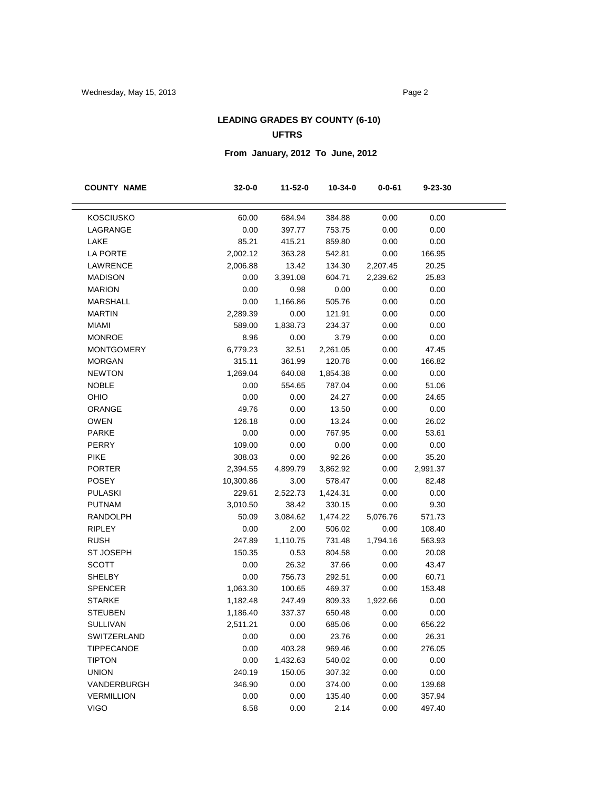## **LEADING GRADES BY COUNTY (6-10) UFTRS**

# **From January, 2012 To June, 2012**

| <b>COUNTY NAME</b>      | $32 - 0 - 0$ | 11-52-0  | 10-34-0  | $0 - 0 - 61$ | 9-23-30  |
|-------------------------|--------------|----------|----------|--------------|----------|
|                         |              |          |          |              |          |
| <b>KOSCIUSKO</b>        | 60.00        | 684.94   | 384.88   | 0.00         | 0.00     |
| LAGRANGE                | 0.00         | 397.77   | 753.75   | 0.00         | 0.00     |
| LAKE<br><b>LA PORTE</b> | 85.21        | 415.21   | 859.80   | 0.00         | 0.00     |
|                         | 2,002.12     | 363.28   | 542.81   | 0.00         | 166.95   |
| LAWRENCE                | 2,006.88     | 13.42    | 134.30   | 2,207.45     | 20.25    |
| <b>MADISON</b>          | 0.00         | 3,391.08 | 604.71   | 2,239.62     | 25.83    |
| <b>MARION</b>           | 0.00         | 0.98     | 0.00     | 0.00         | 0.00     |
| <b>MARSHALL</b>         | 0.00         | 1,166.86 | 505.76   | 0.00         | 0.00     |
| <b>MARTIN</b>           | 2,289.39     | 0.00     | 121.91   | 0.00         | 0.00     |
| <b>MIAMI</b>            | 589.00       | 1,838.73 | 234.37   | 0.00         | 0.00     |
| <b>MONROE</b>           | 8.96         | 0.00     | 3.79     | 0.00         | 0.00     |
| <b>MONTGOMERY</b>       | 6,779.23     | 32.51    | 2,261.05 | 0.00         | 47.45    |
| <b>MORGAN</b>           | 315.11       | 361.99   | 120.78   | 0.00         | 166.82   |
| <b>NEWTON</b>           | 1,269.04     | 640.08   | 1,854.38 | 0.00         | 0.00     |
| <b>NOBLE</b>            | 0.00         | 554.65   | 787.04   | 0.00         | 51.06    |
| OHIO                    | 0.00         | 0.00     | 24.27    | 0.00         | 24.65    |
| ORANGE                  | 49.76        | 0.00     | 13.50    | 0.00         | 0.00     |
| <b>OWEN</b>             | 126.18       | 0.00     | 13.24    | 0.00         | 26.02    |
| <b>PARKE</b>            | 0.00         | 0.00     | 767.95   | 0.00         | 53.61    |
| PERRY                   | 109.00       | 0.00     | 0.00     | 0.00         | 0.00     |
| <b>PIKE</b>             | 308.03       | 0.00     | 92.26    | 0.00         | 35.20    |
| <b>PORTER</b>           | 2,394.55     | 4,899.79 | 3,862.92 | 0.00         | 2,991.37 |
| <b>POSEY</b>            | 10,300.86    | 3.00     | 578.47   | 0.00         | 82.48    |
| <b>PULASKI</b>          | 229.61       | 2,522.73 | 1,424.31 | 0.00         | 0.00     |
| <b>PUTNAM</b>           | 3,010.50     | 38.42    | 330.15   | 0.00         | 9.30     |
| <b>RANDOLPH</b>         | 50.09        | 3,084.62 | 1,474.22 | 5,076.76     | 571.73   |
| <b>RIPLEY</b>           | 0.00         | 2.00     | 506.02   | 0.00         | 108.40   |
| <b>RUSH</b>             | 247.89       | 1,110.75 | 731.48   | 1,794.16     | 563.93   |
| <b>ST JOSEPH</b>        | 150.35       | 0.53     | 804.58   | 0.00         | 20.08    |
| <b>SCOTT</b>            | 0.00         | 26.32    | 37.66    | 0.00         | 43.47    |
| <b>SHELBY</b>           | 0.00         | 756.73   | 292.51   | 0.00         | 60.71    |
| <b>SPENCER</b>          | 1,063.30     | 100.65   | 469.37   | 0.00         | 153.48   |
| <b>STARKE</b>           | 1,182.48     | 247.49   | 809.33   | 1,922.66     | 0.00     |
| <b>STEUBEN</b>          | 1,186.40     | 337.37   | 650.48   | 0.00         | 0.00     |
| <b>SULLIVAN</b>         | 2,511.21     | 0.00     | 685.06   | 0.00         | 656.22   |
| SWITZERLAND             | 0.00         | 0.00     | 23.76    | 0.00         | 26.31    |
| <b>TIPPECANOE</b>       | 0.00         | 403.28   | 969.46   | 0.00         | 276.05   |
| <b>TIPTON</b>           | 0.00         | 1,432.63 | 540.02   | 0.00         | 0.00     |
| <b>UNION</b>            | 240.19       | 150.05   | 307.32   | 0.00         | 0.00     |
| VANDERBURGH             | 346.90       | 0.00     | 374.00   | 0.00         | 139.68   |
| <b>VERMILLION</b>       | 0.00         | 0.00     | 135.40   | 0.00         | 357.94   |
| <b>VIGO</b>             | 6.58         | 0.00     | 2.14     | 0.00         | 497.40   |